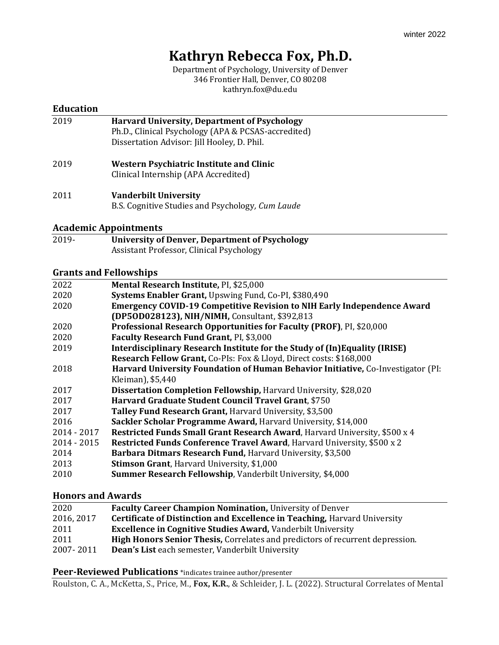# **Kathryn Rebecca Fox, Ph.D.**

Department of Psychology, University of Denver 346 Frontier Hall, Denver, CO 80208 kathryn.fox@du.edu

#### **Education**

- 2019 **Harvard University, Department of Psychology** Ph.D., Clinical Psychology (APA & PCSAS-accredited) Dissertation Advisor: Jill Hooley, D. Phil.
- 2019 **Western Psychiatric Institute and Clinic** Clinical Internship (APA Accredited)
- 2011 **Vanderbilt University**  B.S. Cognitive Studies and Psychology*, Cum Laude*

## **Academic Appointments**

2019- **University of Denver, Department of Psychology** Assistant Professor, Clinical Psychology

## **Grants and Fellowships**

| Mental Research Institute, PI, \$25,000                                           |
|-----------------------------------------------------------------------------------|
| Systems Enabler Grant, Upswing Fund, Co-PI, \$380,490                             |
| <b>Emergency COVID-19 Competitive Revision to NIH Early Independence Award</b>    |
| (DP50D028123), NIH/NIMH, Consultant, \$392,813                                    |
| Professional Research Opportunities for Faculty (PROF), PI, \$20,000              |
| Faculty Research Fund Grant, PI, \$3,000                                          |
| Interdisciplinary Research Institute for the Study of (In)Equality (IRISE)        |
| Research Fellow Grant, Co-PIs: Fox & Lloyd, Direct costs: \$168,000               |
| Harvard University Foundation of Human Behavior Initiative, Co-Investigator (PI:  |
| Kleiman), \$5,440                                                                 |
| Dissertation Completion Fellowship, Harvard University, \$28,020                  |
| Harvard Graduate Student Council Travel Grant, \$750                              |
| Talley Fund Research Grant, Harvard University, \$3,500                           |
| Sackler Scholar Programme Award, Harvard University, \$14,000                     |
| <b>Restricted Funds Small Grant Research Award, Harvard University, \$500 x 4</b> |
| <b>Restricted Funds Conference Travel Award, Harvard University, \$500 x 2</b>    |
| Barbara Ditmars Research Fund, Harvard University, \$3,500                        |
| <b>Stimson Grant, Harvard University, \$1,000</b>                                 |
| Summer Research Fellowship, Vanderbilt University, \$4,000                        |
|                                                                                   |

## **Honors and Awards**

| 2020       | <b>Faculty Career Champion Nomination, University of Denver</b>                      |
|------------|--------------------------------------------------------------------------------------|
| 2016, 2017 | <b>Certificate of Distinction and Excellence in Teaching, Harvard University</b>     |
| 2011       | <b>Excellence in Cognitive Studies Award, Vanderbilt University</b>                  |
| 2011       | <b>High Honors Senior Thesis, Correlates and predictors of recurrent depression.</b> |
| 2007-2011  | Dean's List each semester, Vanderbilt University                                     |

#### **Peer-Reviewed Publications** \*indicates trainee author/presenter

Roulston, C. A., McKetta, S., Price, M., **Fox, K.R.**, & Schleider, J. L. (2022). Structural Correlates of Mental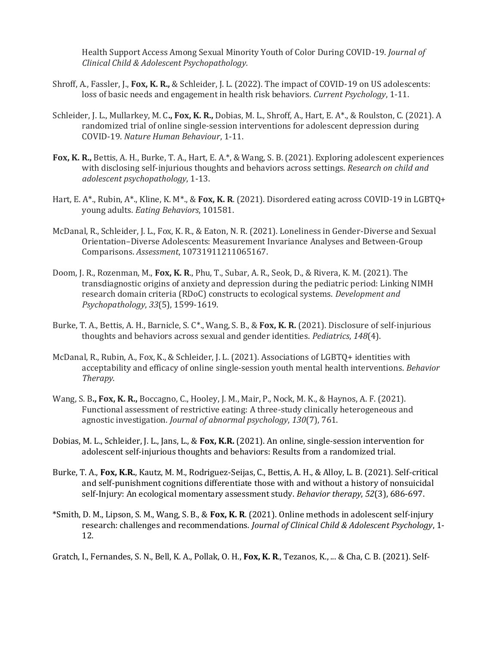Health Support Access Among Sexual Minority Youth of Color During COVID-19. *Journal of Clinical Child & Adolescent Psychopathology.*

- Shroff, A., Fassler, J., **Fox, K. R.,** & Schleider, J. L. (2022). The impact of COVID-19 on US adolescents: loss of basic needs and engagement in health risk behaviors. *Current Psychology*, 1-11.
- Schleider, J. L., Mullarkey, M. C**., Fox, K. R.,** Dobias, M. L., Shroff, A., Hart, E. A\*., & Roulston, C. (2021). A randomized trial of online single-session interventions for adolescent depression during COVID-19. *Nature Human Behaviour*, 1-11.
- **Fox, K. R.,** Bettis, A. H., Burke, T. A., Hart, E. A.\*, & Wang, S. B. (2021). Exploring adolescent experiences with disclosing self-injurious thoughts and behaviors across settings. *Research on child and adolescent psychopathology*, 1-13.
- Hart, E. A\*., Rubin, A\*., Kline, K. M\*., & **Fox, K. R**. (2021). Disordered eating across COVID-19 in LGBTQ+ young adults. *Eating Behaviors*, 101581.
- McDanal, R., Schleider, J. L., Fox, K. R., & Eaton, N. R. (2021). Loneliness in Gender-Diverse and Sexual Orientation–Diverse Adolescents: Measurement Invariance Analyses and Between-Group Comparisons. *Assessment*, 10731911211065167.
- Doom, J. R., Rozenman, M., **Fox, K. R**., Phu, T., Subar, A. R., Seok, D., & Rivera, K. M. (2021). The transdiagnostic origins of anxiety and depression during the pediatric period: Linking NIMH research domain criteria (RDoC) constructs to ecological systems. *Development and Psychopathology*, *33*(5), 1599-1619.
- Burke, T. A., Bettis, A. H., Barnicle, S. C\*., Wang, S. B., & **Fox, K. R.** (2021). Disclosure of self-injurious thoughts and behaviors across sexual and gender identities. *Pediatrics*, *148*(4).
- McDanal, R., Rubin, A., Fox, K., & Schleider, J. L. (2021). Associations of LGBTQ+ identities with acceptability and efficacy of online single-session youth mental health interventions. *Behavior Therapy*.
- Wang, S. B**., Fox, K. R.,** Boccagno, C., Hooley, J. M., Mair, P., Nock, M. K., & Haynos, A. F. (2021). Functional assessment of restrictive eating: A three-study clinically heterogeneous and agnostic investigation. *Journal of abnormal psychology*, *130*(7), 761.
- Dobias, M. L., Schleider, J. L., Jans, L., & **Fox, K.R.** (2021). An online, single-session intervention for adolescent self-injurious thoughts and behaviors: Results from a randomized trial.
- Burke, T. A., **Fox, K.R.**, Kautz, M. M., Rodriguez-Seijas, C., Bettis, A. H., & Alloy, L. B. (2021). Self-critical and self-punishment cognitions differentiate those with and without a history of nonsuicidal self-Injury: An ecological momentary assessment study. *Behavior therapy*, *52*(3), 686-697.
- \*Smith, D. M., Lipson, S. M., Wang, S. B., & **Fox, K. R**. (2021). Online methods in adolescent self-injury research: challenges and recommendations. *Journal of Clinical Child & Adolescent Psychology*, 1- 12.

Gratch, I., Fernandes, S. N., Bell, K. A., Pollak, O. H., **Fox, K. R**., Tezanos, K., ... & Cha, C. B. (2021). Self-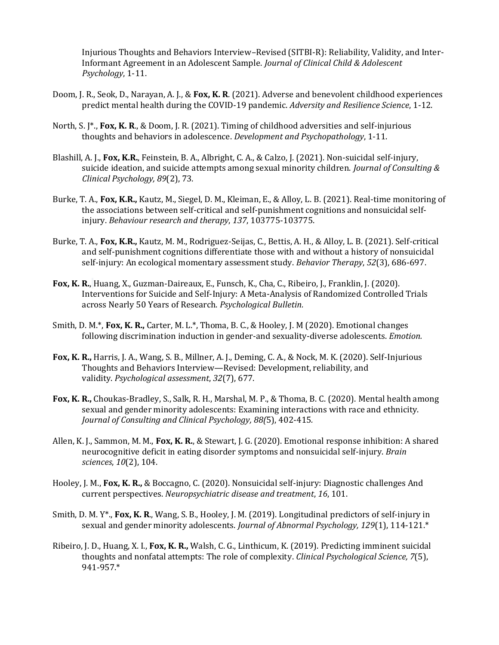Injurious Thoughts and Behaviors Interview–Revised (SITBI-R): Reliability, Validity, and Inter-Informant Agreement in an Adolescent Sample. *Journal of Clinical Child & Adolescent Psychology*, 1-11.

- Doom, J. R., Seok, D., Narayan, A. J., & **Fox, K. R**. (2021). Adverse and benevolent childhood experiences predict mental health during the COVID-19 pandemic. *Adversity and Resilience Science*, 1-12.
- North, S. J\*., **Fox, K. R**., & Doom, J. R. (2021). Timing of childhood adversities and self-injurious thoughts and behaviors in adolescence. *Development and Psychopathology*, 1-11.
- Blashill, A. J., **Fox, K.R.**, Feinstein, B. A., Albright, C. A., & Calzo, J. (2021). Non-suicidal self-injury, suicide ideation, and suicide attempts among sexual minority children. *Journal of Consulting & Clinical Psychology, 89*(2), 73*.*
- Burke, T. A., **Fox, K.R.,** Kautz, M., Siegel, D. M., Kleiman, E., & Alloy, L. B. (2021). Real-time monitoring of the associations between self-critical and self-punishment cognitions and nonsuicidal selfinjury. *Behaviour research and therapy*, *137*, 103775-103775.
- Burke, T. A., **Fox, K.R.,** Kautz, M. M., Rodriguez-Seijas, C., Bettis, A. H., & Alloy, L. B. (2021). Self-critical and self-punishment cognitions differentiate those with and without a history of nonsuicidal self-injury: An ecological momentary assessment study. *Behavior Therapy*, *52*(3), 686-697.
- **Fox, K. R.**, Huang, X., Guzman-Daireaux, E., Funsch, K., Cha, C., Ribeiro, J., Franklin, J. (2020). Interventions for Suicide and Self-Injury: A Meta-Analysis of Randomized Controlled Trials across Nearly 50 Years of Research. *Psychological Bulletin.*
- Smith, D. M.\*, **Fox, K. R.,** Carter, M. L.\*, Thoma, B. C., & Hooley, J. M (2020). Emotional changes following discrimination induction in gender-and sexuality-diverse adolescents. *Emotion.*
- **Fox, K. R.,** Harris, J. A., Wang, S. B., Millner, A. J., Deming, C. A., & Nock, M. K. (2020). Self-Injurious Thoughts and Behaviors Interview—Revised: Development, reliability, and validity. *Psychological assessment*, *32*(7), 677.
- **Fox, K. R.,** Choukas-Bradley, S., Salk, R. H., Marshal, M. P., & Thoma, B. C. (2020). Mental health among sexual and gender minority adolescents: Examining interactions with race and ethnicity. *Journal of Consulting and Clinical Psychology, 88(*5), 402-415*.*
- Allen, K. J., Sammon, M. M., **Fox, K. R.**, & Stewart, J. G. (2020). Emotional response inhibition: A shared neurocognitive deficit in eating disorder symptoms and nonsuicidal self-injury. *Brain sciences*, *10*(2), 104.
- Hooley, J. M., **Fox, K. R.,** & Boccagno, C. (2020). Nonsuicidal self-injury: Diagnostic challenges And current perspectives. *Neuropsychiatric disease and treatment*, *16*, 101.
- Smith, D. M. Y\*., **Fox, K. R**., Wang, S. B., Hooley, J. M. (2019). Longitudinal predictors of self-injury in sexual and gender minority adolescents. *Journal of Abnormal Psychology, 129*(1), 114-121.\*
- Ribeiro, J. D., Huang, X. I., **Fox, K. R.,** Walsh, C. G., Linthicum, K. (2019). Predicting imminent suicidal thoughts and nonfatal attempts: The role of complexity. *Clinical Psychological Science, 7*(5), 941-957.\*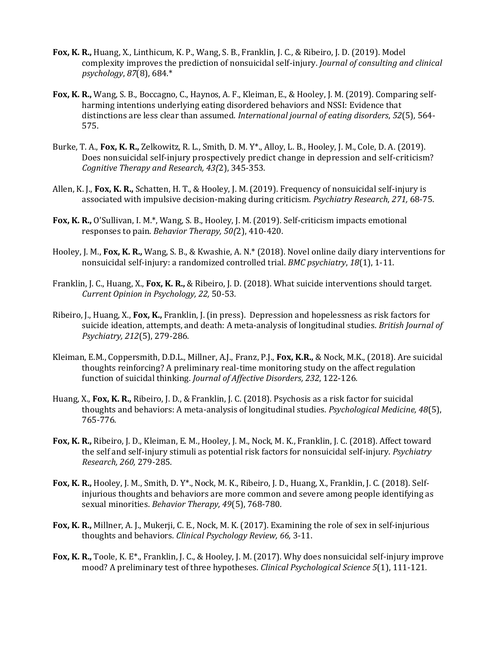- **Fox, K. R.,** Huang, X., Linthicum, K. P., Wang, S. B., Franklin, J. C., & Ribeiro, J. D. (2019). Model complexity improves the prediction of nonsuicidal self-injury. *Journal of consulting and clinical psychology*, *87*(8), 684.\*
- **Fox, K. R.,** Wang, S. B., Boccagno, C., Haynos, A. F., Kleiman, E., & Hooley, J. M. (2019). Comparing self‐ harming intentions underlying eating disordered behaviors and NSSI: Evidence that distinctions are less clear than assumed. *International journal of eating disorders*, *52*(5), 564- 575.
- Burke, T. A., **Fox, K. R.,** Zelkowitz, R. L., Smith, D. M. Y\*., Alloy, L. B., Hooley, J. M., Cole, D. A. (2019). Does nonsuicidal self-injury prospectively predict change in depression and self-criticism? *Cognitive Therapy and Research, 43(*2), 345-353.
- Allen, K. J., **Fox, K. R.,** Schatten, H. T., & Hooley, J. M. (2019). Frequency of nonsuicidal self-injury is associated with impulsive decision-making during criticism. *Psychiatry Research*, *271,* 68-75.
- **Fox, K. R.,** O'Sullivan, I. M.\*, Wang, S. B., Hooley, J. M. (2019). Self-criticism impacts emotional responses to pain. *Behavior Therapy, 50(*2), 410-420.
- Hooley, J. M., **Fox, K. R.,** Wang, S. B., & Kwashie, A. N.\* (2018). Novel online daily diary interventions for nonsuicidal self-injury: a randomized controlled trial. *BMC psychiatry*, *18*(1), 1-11.
- Franklin, J. C., Huang, X., **Fox, K. R.,** & Ribeiro, J. D. (2018). What suicide interventions should target. *Current Opinion in Psychology, 22,* 50-53*.*
- Ribeiro, J., Huang, X., **Fox, K.,** Franklin, J. (in press). Depression and hopelessness as risk factors for suicide ideation, attempts, and death: A meta-analysis of longitudinal studies. *British Journal of Psychiatry, 212*(5), 279-286*.*
- Kleiman, E.M., Coppersmith, D.D.L., Millner, A.J., Franz, P.J., **Fox, K.R.,** & Nock, M.K., (2018). Are suicidal thoughts reinforcing? A preliminary real-time monitoring study on the affect regulation function of suicidal thinking. *Journal of Affective Disorders, 232*, 122-126*.*
- Huang, X., **Fox, K. R.,** Ribeiro, J. D., & Franklin, J. C. (2018). Psychosis as a risk factor for suicidal thoughts and behaviors: A meta-analysis of longitudinal studies. *Psychological Medicine, 48*(5), 765-776*.*
- **Fox, K. R.,** Ribeiro, J. D., Kleiman, E. M., Hooley, J. M., Nock, M. K., Franklin, J. C. (2018). Affect toward the self and self-injury stimuli as potential risk factors for nonsuicidal self-injury. *Psychiatry Research, 260,* 279-285.
- **Fox, K. R.,** Hooley, J. M., Smith, D. Y\*., Nock, M. K., Ribeiro, J. D., Huang, X., Franklin, J. C. (2018). Selfinjurious thoughts and behaviors are more common and severe among people identifying as sexual minorities. *Behavior Therapy, 49*(5), 768-780*.*
- **Fox, K. R.,** Millner, A. J., Mukerji, C. E., Nock, M. K. (2017). Examining the role of sex in self-injurious thoughts and behaviors*. Clinical Psychology Review, 66,* 3-11.
- **Fox, K. R.,** Toole, K. E\*., Franklin, J. C., & Hooley, J. M. (2017). Why does nonsuicidal self-injury improve mood? A preliminary test of three hypotheses. *Clinical Psychological Science 5*(1), 111-121*.*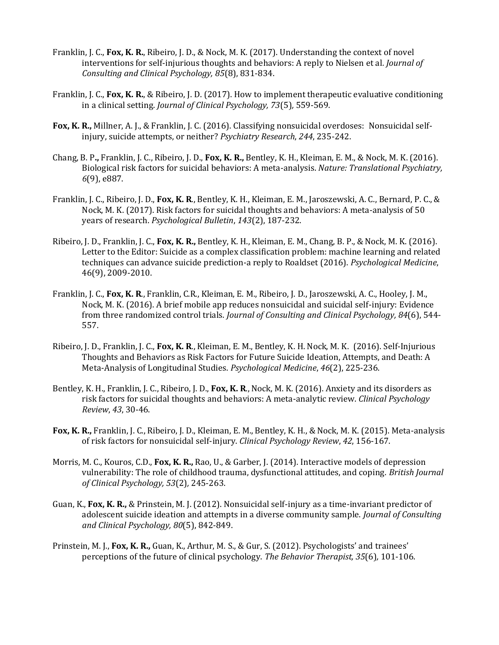- Franklin, J. C., **Fox, K. R.**, Ribeiro, J. D., & Nock, M. K. (2017). Understanding the context of novel interventions for self-injurious thoughts and behaviors: A reply to Nielsen et al*. Journal of Consulting and Clinical Psychology, 85*(8), 831-834.
- Franklin, J. C., **Fox, K. R.**, & Ribeiro, J. D. (2017). How to implement therapeutic evaluative conditioning in a clinical setting. *Journal of Clinical Psychology, 73*(5)*,* 559-569.
- **Fox, K. R.,** Millner, A. J., & Franklin, J. C. (2016). Classifying nonsuicidal overdoses: Nonsuicidal selfinjury, suicide attempts, or neither? *Psychiatry Research*, *244*, 235-242.
- Chang, B. P**.,** Franklin, J. C., Ribeiro, J. D., **Fox, K. R.,** Bentley, K. H., Kleiman, E. M., & Nock, M. K. (2016). Biological risk factors for suicidal behaviors: A meta-analysis. *Nature: Translational Psychiatry, 6*(9), e887.
- Franklin, J. C., Ribeiro, J. D., **Fox, K. R**., Bentley, K. H., Kleiman, E. M., Jaroszewski, A. C., Bernard, P. C., & Nock, M. K. (2017). Risk factors for suicidal thoughts and behaviors: A meta-analysis of 50 years of research. *Psychological Bulletin*, *143*(2), 187-232.
- Ribeiro, J. D., Franklin, J. C., **Fox, K. R.,** Bentley, K. H., Kleiman, E. M., Chang, B. P., & Nock, M. K. (2016). Letter to the Editor: Suicide as a complex classification problem: machine learning and related techniques can advance suicide prediction-a reply to Roaldset (2016). *Psychological Medicine*, 46(9), 2009-2010.
- Franklin, J. C., **Fox, K. R**., Franklin, C.R., Kleiman, E. M., Ribeiro, J. D., Jaroszewski, A. C., Hooley, J. M., Nock, M. K. (2016). A brief mobile app reduces nonsuicidal and suicidal self-injury: Evidence from three randomized control trials. *Journal of Consulting and Clinical Psychology, 84*(6), 544- 557.
- Ribeiro, J. D., Franklin, J. C., **Fox, K. R**., Kleiman, E. M., Bentley, K. H. Nock, M. K. (2016). Self-Injurious Thoughts and Behaviors as Risk Factors for Future Suicide Ideation, Attempts, and Death: A Meta-Analysis of Longitudinal Studies. *Psychological Medicine*, *46*(2), 225-236.
- Bentley, K. H., Franklin, J. C., Ribeiro, J. D., **Fox, K. R**., Nock, M. K. (2016). Anxiety and its disorders as risk factors for suicidal thoughts and behaviors: A meta-analytic review. *Clinical Psychology Review*, *43*, 30-46.
- **Fox, K. R.,** Franklin, J. C., Ribeiro, J. D., Kleiman, E. M., Bentley, K. H., & Nock, M. K. (2015). Meta-analysis of risk factors for nonsuicidal self-injury. *Clinical Psychology Review*, *42*, 156-167.
- Morris, M. C., Kouros, C.D., **Fox, K. R.,** Rao, U., & Garber, J. (2014). Interactive models of depression vulnerability: The role of childhood trauma, dysfunctional attitudes, and coping. *British Journal of Clinical Psychology, 53*(2)*,* 245-263.
- Guan, K., **Fox, K. R.,** & Prinstein, M. J. (2012). Nonsuicidal self-injury as a time-invariant predictor of adolescent suicide ideation and attempts in a diverse community sample. *Journal of Consulting and Clinical Psychology, 80*(5), 842-849.
- Prinstein, M. J., **Fox, K. R.,** Guan, K., Arthur, M. S., & Gur, S. (2012). Psychologists' and trainees' perceptions of the future of clinical psychology. *The Behavior Therapist, 35*(6)*,* 101-106.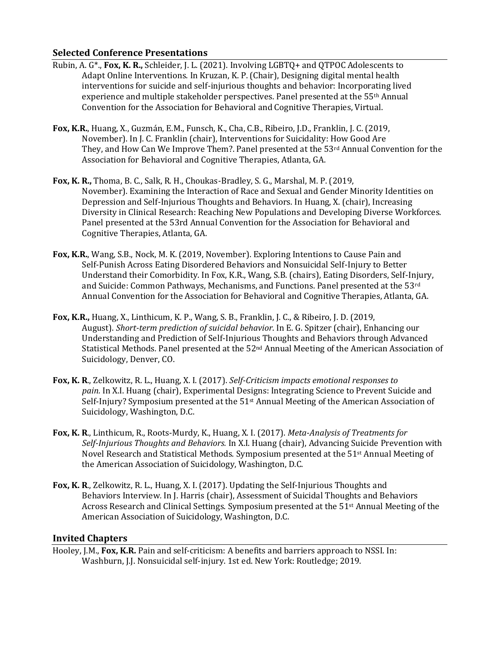## **Selected Conference Presentations**

- Rubin, A. G\*., **Fox, K. R.,** Schleider, J. L. (2021). Involving LGBTQ+ and QTPOC Adolescents to Adapt Online Interventions. In Kruzan, K. P. (Chair), Designing digital mental health interventions for suicide and self-injurious thoughts and behavior: Incorporating lived experience and multiple stakeholder perspectives. Panel presented at the 55th Annual Convention for the Association for Behavioral and Cognitive Therapies, Virtual.
- **Fox, K.R.**, Huang, X., Guzmán, E.M., Funsch, K., Cha, C.B., Ribeiro, J.D., Franklin, J. C. (2019, November). In J. C. Franklin (chair), Interventions for Suicidality: How Good Are They, and How Can We Improve Them?. Panel presented at the 53rd Annual Convention for the Association for Behavioral and Cognitive Therapies, Atlanta, GA.
- **Fox, K. R.,** Thoma, B. C., Salk, R. H., Choukas-Bradley, S. G., Marshal, M. P. (2019, November). Examining the Interaction of Race and Sexual and Gender Minority Identities on Depression and Self-Injurious Thoughts and Behaviors. In Huang, X. (chair), Increasing Diversity in Clinical Research: Reaching New Populations and Developing Diverse Workforces. Panel presented at the 53rd Annual Convention for the Association for Behavioral and Cognitive Therapies, Atlanta, GA.
- **Fox, K.R.**, Wang, S.B., Nock, M. K. (2019, November). Exploring Intentions to Cause Pain and Self-Punish Across Eating Disordered Behaviors and Nonsuicidal Self-Injury to Better Understand their Comorbidity. In Fox, K.R., Wang, S.B. (chairs), Eating Disorders, Self-Injury, and Suicide: Common Pathways, Mechanisms, and Functions. Panel presented at the 53rd Annual Convention for the Association for Behavioral and Cognitive Therapies, Atlanta, GA.
- **Fox, K.R.,** Huang, X., Linthicum, K. P., Wang, S. B., Franklin, J. C., & Ribeiro, J. D. (2019, August). *Short-term prediction of suicidal behavior*. In E. G. Spitzer (chair), Enhancing our Understanding and Prediction of Self-Injurious Thoughts and Behaviors through Advanced Statistical Methods*.* Panel presented at the 52nd Annual Meeting of the American Association of Suicidology, Denver, CO.
- **Fox, K. R**., Zelkowitz, R. L., Huang, X. I. (2017). *Self-Criticism impacts emotional responses to pain.* In X.I. Huang (chair), Experimental Designs: Integrating Science to Prevent Suicide and Self-Injury? Symposium presented at the 51st Annual Meeting of the American Association of Suicidology, Washington, D.C.
- **Fox, K. R**., Linthicum, R., Roots-Murdy, K., Huang, X. I. (2017). *Meta-Analysis of Treatments for Self-Injurious Thoughts and Behaviors.* In X.I. Huang (chair), Advancing Suicide Prevention with Novel Research and Statistical Methods. Symposium presented at the 51st Annual Meeting of the American Association of Suicidology, Washington, D.C.
- **Fox, K. R**., Zelkowitz, R. L., Huang, X. I. (2017). Updating the Self-Injurious Thoughts and Behaviors Interview*.* In J. Harris (chair), Assessment of Suicidal Thoughts and Behaviors Across Research and Clinical Settings. Symposium presented at the 51st Annual Meeting of the American Association of Suicidology, Washington, D.C.

## **Invited Chapters**

Hooley, J.M., **Fox, K.R.** Pain and self-criticism: A benefits and barriers approach to NSSI. In: Washburn, J.J. Nonsuicidal self-injury. 1st ed. New York: Routledge; 2019.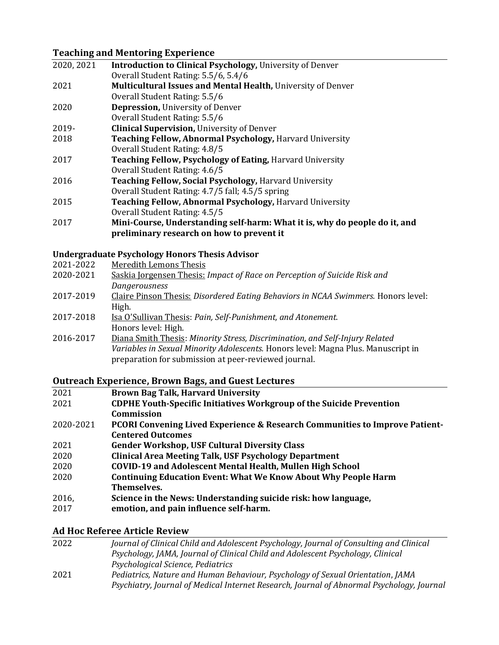# **Teaching and Mentoring Experience**

| 2020, 2021 | <b>Introduction to Clinical Psychology, University of Denver</b>           |
|------------|----------------------------------------------------------------------------|
|            | Overall Student Rating: 5.5/6, 5.4/6                                       |
| 2021       | Multicultural Issues and Mental Health, University of Denver               |
|            | Overall Student Rating: 5.5/6                                              |
| 2020       | <b>Depression, University of Denver</b>                                    |
|            | Overall Student Rating: 5.5/6                                              |
| 2019-      | <b>Clinical Supervision, University of Denver</b>                          |
| 2018       | Teaching Fellow, Abnormal Psychology, Harvard University                   |
|            | Overall Student Rating: 4.8/5                                              |
| 2017       | Teaching Fellow, Psychology of Eating, Harvard University                  |
|            | Overall Student Rating: 4.6/5                                              |
| 2016       | <b>Teaching Fellow, Social Psychology, Harvard University</b>              |
|            | Overall Student Rating: 4.7/5 fall; 4.5/5 spring                           |
| 2015       | Teaching Fellow, Abnormal Psychology, Harvard University                   |
|            | Overall Student Rating: 4.5/5                                              |
| 2017       | Mini-Course, Understanding self-harm: What it is, why do people do it, and |
|            | preliminary research on how to prevent it                                  |
|            |                                                                            |

#### **Undergraduate Psychology Honors Thesis Advisor**

| 2021-2022 | Meredith Lemons Thesis |  |
|-----------|------------------------|--|
|           |                        |  |

| 2020-2021                                        | Saskia Jorgensen Thesis: Impact of Race on Perception of Suicide Risk and                            |  |
|--------------------------------------------------|------------------------------------------------------------------------------------------------------|--|
|                                                  | Dangerousness                                                                                        |  |
| $\begin{array}{c} \n\text{and} \\ \n\end{array}$ | $CL$ , $T$ , $T$ , $T$ , $T$ , $T$ , $T$ , $T$ , $T$ , $T$ , $T$ , $T$ , $T$ , $T$ , $T$ , $T$ , $T$ |  |

2017-2019 Claire Pinson Thesis: *Disordered Eating Behaviors in NCAA Swimmers.* Honors level: High.

| 2017-2018 | Isa O'Sullivan Thesis: Pain, Self-Punishment, and Atonement. |
|-----------|--------------------------------------------------------------|
|           | Honors level: High.                                          |

2016-2017 Diana Smith Thesis: *Minority Stress, Discrimination, and Self-Injury Related Variables in Sexual Minority Adolescents.* Honors level: Magna Plus. Manuscript in preparation for submission at peer-reviewed journal.

## **Outreach Experience, Brown Bags, and Guest Lectures**

| 2021      | <b>Brown Bag Talk, Harvard University</b>                                   |
|-----------|-----------------------------------------------------------------------------|
| 2021      | <b>CDPHE Youth-Specific Initiatives Workgroup of the Suicide Prevention</b> |
|           | Commission                                                                  |
| 2020-2021 | PCORI Convening Lived Experience & Research Communities to Improve Patient- |
|           | <b>Centered Outcomes</b>                                                    |
| 2021      | <b>Gender Workshop, USF Cultural Diversity Class</b>                        |
| 2020      | <b>Clinical Area Meeting Talk, USF Psychology Department</b>                |
| 2020      | <b>COVID-19 and Adolescent Mental Health, Mullen High School</b>            |
| 2020      | <b>Continuing Education Event: What We Know About Why People Harm</b>       |
|           | Themselves.                                                                 |
| 2016,     | Science in the News: Understanding suicide risk: how language,              |
| 2017      | emotion, and pain influence self-harm.                                      |
|           |                                                                             |

# **Ad Hoc Referee Article Review**

| 2022 | Journal of Clinical Child and Adolescent Psychology, Journal of Consulting and Clinical   |
|------|-------------------------------------------------------------------------------------------|
|      | Psychology, JAMA, Journal of Clinical Child and Adolescent Psychology, Clinical           |
|      | Psychological Science, Pediatrics                                                         |
| 2021 | Pediatrics, Nature and Human Behaviour, Psychology of Sexual Orientation, JAMA            |
|      | Psychiatry, Journal of Medical Internet Research, Journal of Abnormal Psychology, Journal |